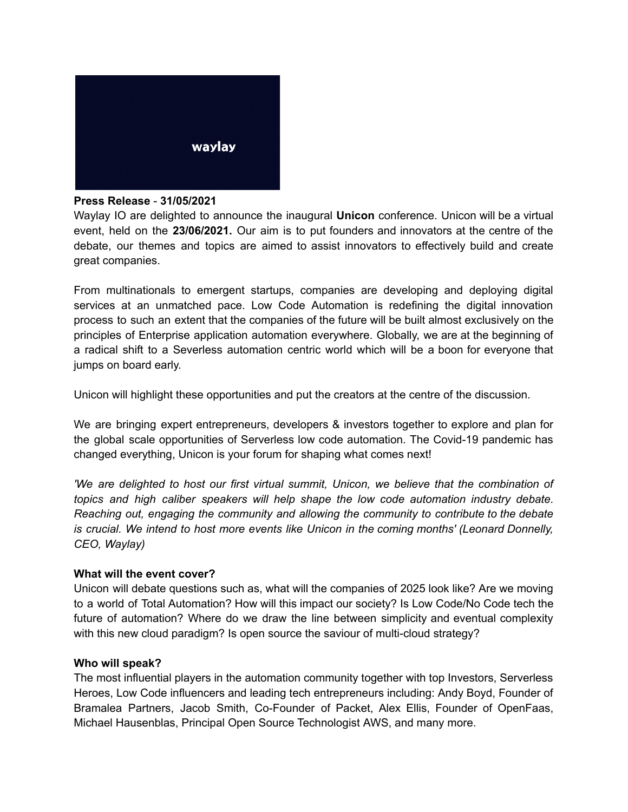

## **Press Release** - **31/05/2021**

Waylay IO are delighted to announce the inaugural **Unicon** conference. Unicon will be a virtual event, held on the **23/06/2021.** Our aim is to put founders and innovators at the centre of the debate, our themes and topics are aimed to assist innovators to effectively build and create great companies.

From multinationals to emergent startups, companies are developing and deploying digital services at an unmatched pace. Low Code Automation is redefining the digital innovation process to such an extent that the companies of the future will be built almost exclusively on the principles of Enterprise application automation everywhere. Globally, we are at the beginning of a radical shift to a Severless automation centric world which will be a boon for everyone that jumps on board early.

Unicon will highlight these opportunities and put the creators at the centre of the discussion.

We are bringing expert entrepreneurs, developers & investors together to explore and plan for the global scale opportunities of Serverless low code automation. The Covid-19 pandemic has changed everything, Unicon is your forum for shaping what comes next!

*'We are delighted to host our first virtual summit, Unicon, we believe that the combination of topics and high caliber speakers will help shape the low code automation industry debate. Reaching out, engaging the community and allowing the community to contribute to the debate is crucial. We intend to host more events like Unicon in the coming months' (Leonard Donnelly, CEO, Waylay)*

## **What will the event cover?**

Unicon will debate questions such as, what will the companies of 2025 look like? Are we moving to a world of Total Automation? How will this impact our society? Is Low Code/No Code tech the future of automation? Where do we draw the line between simplicity and eventual complexity with this new cloud paradigm? Is open source the saviour of multi-cloud strategy?

## **Who will speak?**

The most influential players in the automation community together with top Investors, Serverless Heroes, Low Code influencers and leading tech entrepreneurs including: Andy Boyd, Founder of Bramalea Partners, Jacob Smith, Co-Founder of Packet, Alex Ellis, Founder of OpenFaas, Michael Hausenblas, Principal Open Source Technologist AWS, and many more.